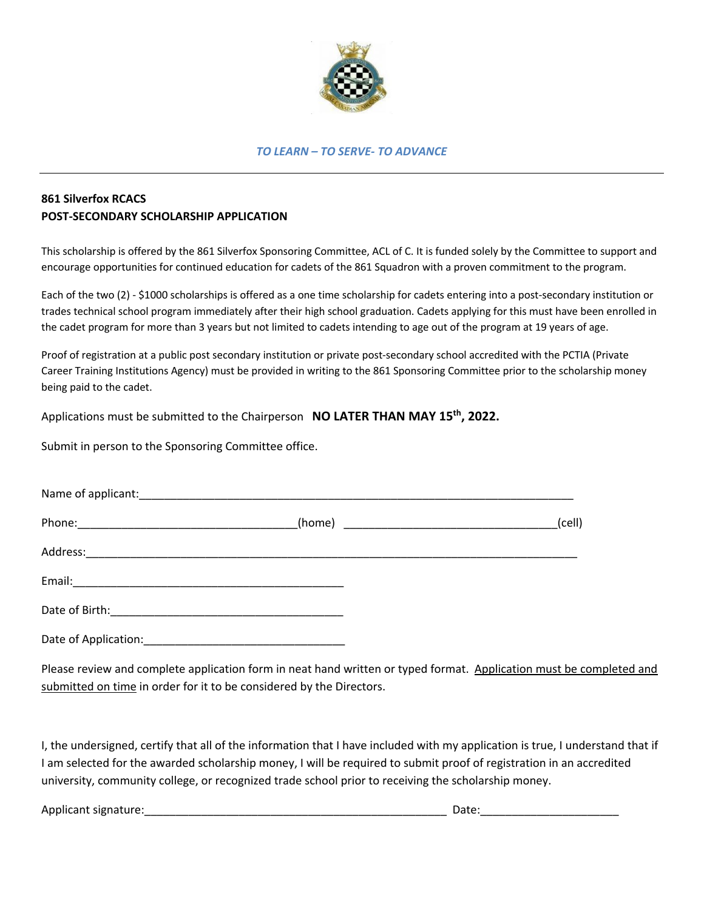

## *TO LEARN – TO SERVE- TO ADVANCE*

## **861 Silverfox RCACS POST-SECONDARY SCHOLARSHIP APPLICATION**

This scholarship is offered by the 861 Silverfox Sponsoring Committee, ACL of C. It is funded solely by the Committee to support and encourage opportunities for continued education for cadets of the 861 Squadron with a proven commitment to the program.

Each of the two (2) - \$1000 scholarships is offered as a one time scholarship for cadets entering into a post-secondary institution or trades technical school program immediately after their high school graduation. Cadets applying for this must have been enrolled in the cadet program for more than 3 years but not limited to cadets intending to age out of the program at 19 years of age.

Proof of registration at a public post secondary institution or private post-secondary school accredited with the PCTIA (Private Career Training Institutions Agency) must be provided in writing to the 861 Sponsoring Committee prior to the scholarship money being paid to the cadet.

Applications must be submitted to the Chairperson **NO LATER THAN MAY 15th, 2022.**

Submit in person to the Sponsoring Committee office.

|                      |  | (cell) |
|----------------------|--|--------|
|                      |  |        |
|                      |  |        |
|                      |  |        |
| Date of Application: |  |        |

Please review and complete application form in neat hand written or typed format. Application must be completed and submitted on time in order for it to be considered by the Directors.

I, the undersigned, certify that all of the information that I have included with my application is true, I understand that if I am selected for the awarded scholarship money, I will be required to submit proof of registration in an accredited university, community college, or recognized trade school prior to receiving the scholarship money.

Applicant signature:\_\_\_\_\_\_\_\_\_\_\_\_\_\_\_\_\_\_\_\_\_\_\_\_\_\_\_\_\_\_\_\_\_\_\_\_\_\_\_\_\_\_\_\_\_\_\_\_ Date:\_\_\_\_\_\_\_\_\_\_\_\_\_\_\_\_\_\_\_\_\_\_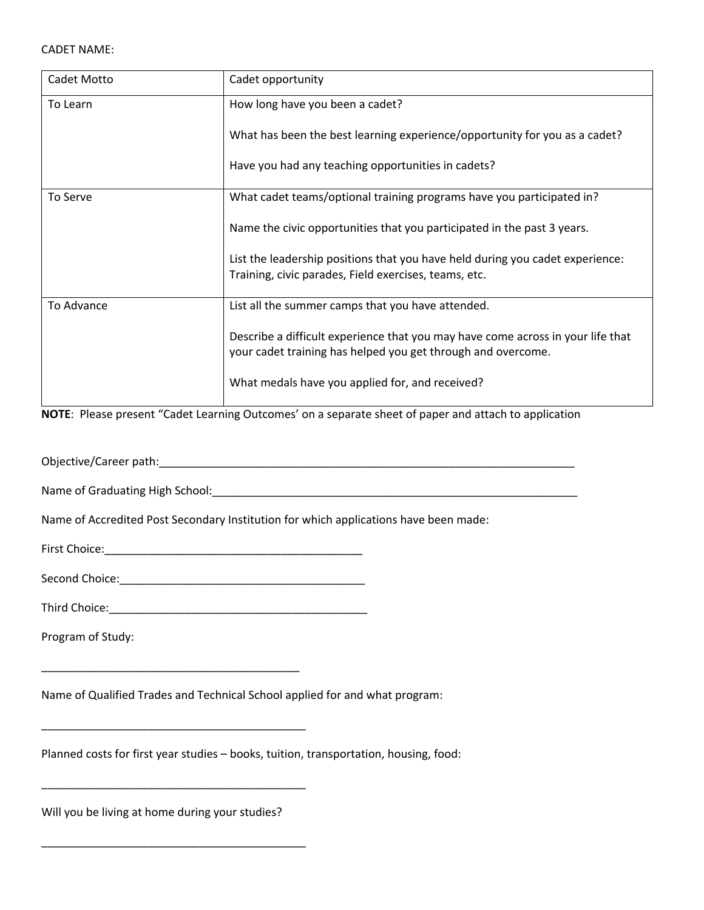| Cadet Motto | Cadet opportunity                                                                                                                               |  |
|-------------|-------------------------------------------------------------------------------------------------------------------------------------------------|--|
| To Learn    | How long have you been a cadet?                                                                                                                 |  |
|             | What has been the best learning experience/opportunity for you as a cadet?                                                                      |  |
|             | Have you had any teaching opportunities in cadets?                                                                                              |  |
| To Serve    | What cadet teams/optional training programs have you participated in?                                                                           |  |
|             | Name the civic opportunities that you participated in the past 3 years.                                                                         |  |
|             | List the leadership positions that you have held during you cadet experience:<br>Training, civic parades, Field exercises, teams, etc.          |  |
| To Advance  | List all the summer camps that you have attended.                                                                                               |  |
|             | Describe a difficult experience that you may have come across in your life that<br>your cadet training has helped you get through and overcome. |  |
|             | What medals have you applied for, and received?                                                                                                 |  |

**NOTE**: Please present "Cadet Learning Outcomes' on a separate sheet of paper and attach to application

Objective/Career path: etc. and the set of the set of the set of the set of the set of the set of the set of the set of the set of the set of the set of the set of the set of the set of the set of the set of the set of the

Name of Graduating High School:\_\_\_\_\_\_\_\_\_\_\_\_\_\_\_\_\_\_\_\_\_\_\_\_\_\_\_\_\_\_\_\_\_\_\_\_\_\_\_\_\_\_\_\_\_\_\_\_\_\_\_\_\_\_\_\_\_\_

Name of Accredited Post Secondary Institution for which applications have been made:

First Choice:\_\_\_\_\_\_\_\_\_\_\_\_\_\_\_\_\_\_\_\_\_\_\_\_\_\_\_\_\_\_\_\_\_\_\_\_\_\_\_\_\_

Second Choice:\_\_\_\_\_\_\_\_\_\_\_\_\_\_\_\_\_\_\_\_\_\_\_\_\_\_\_\_\_\_\_\_\_\_\_\_\_\_\_

Third Choice:\_\_\_\_\_\_\_\_\_\_\_\_\_\_\_\_\_\_\_\_\_\_\_\_\_\_\_\_\_\_\_\_\_\_\_\_\_\_\_\_\_

Program of Study:

Name of Qualified Trades and Technical School applied for and what program:

Planned costs for first year studies – books, tuition, transportation, housing, food:

Will you be living at home during your studies?

\_\_\_\_\_\_\_\_\_\_\_\_\_\_\_\_\_\_\_\_\_\_\_\_\_\_\_\_\_\_\_\_\_\_\_\_\_\_\_\_\_\_

\_\_\_\_\_\_\_\_\_\_\_\_\_\_\_\_\_\_\_\_\_\_\_\_\_\_\_\_\_\_\_\_\_\_\_\_\_\_\_\_\_\_

\_\_\_\_\_\_\_\_\_\_\_\_\_\_\_\_\_\_\_\_\_\_\_\_\_\_\_\_\_\_\_\_\_\_\_\_\_\_\_\_\_